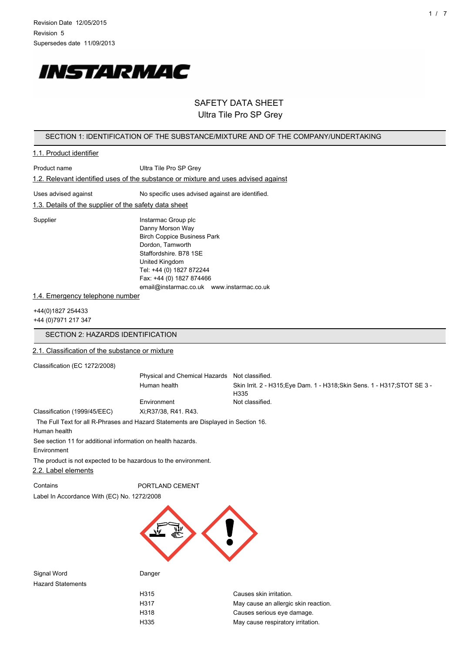

## SAFETY DATA SHEET Ultra Tile Pro SP Grey

#### SECTION 1: IDENTIFICATION OF THE SUBSTANCE/MIXTURE AND OF THE COMPANY/UNDERTAKING

## 1.1. Product identifier

| Product name                                                                  | Ultra Tile Pro SP Grey                                                             |
|-------------------------------------------------------------------------------|------------------------------------------------------------------------------------|
|                                                                               | 1.2. Relevant identified uses of the substance or mixture and uses advised against |
| Uses advised against<br>1.3. Details of the supplier of the safety data sheet | No specific uses advised against are identified.                                   |
| Supplier                                                                      | Instarmac Group plc<br>Danny Moreon Way                                            |

Danny Morson Way Birch Coppice Business Park Dordon, Tamworth Staffordshire. B78 1SE United Kingdom Tel: +44 (0) 1827 872244 Fax: +44 (0) 1827 874466 email@instarmac.co.uk www.instarmac.co.uk

#### 1.4. Emergency telephone number

+44(0)1827 254433 +44 (0)7971 217 347

## SECTION 2: HAZARDS IDENTIFICATION

### 2.1. Classification of the substance or mixture

Classification (EC 1272/2008)

Physical and Chemical Hazards Not classified. Human health Skin Irrit. 2 - H315;Eye Dam. 1 - H318;Skin Sens. 1 - H317;STOT SE 3 - H335 Environment Not classified.

Classification (1999/45/EEC) Xi;R37/38, R41. R43.

The Full Text for all R-Phrases and Hazard Statements are Displayed in Section 16.

Human health

See section 11 for additional information on health hazards.

Environment

The product is not expected to be hazardous to the environment.

2.2. Label elements

Contains **PORTLAND CEMENT** 

Label In Accordance With (EC) No. 1272/2008



Signal Word **Danger** Hazard Statements

| H315 | Causes skin irritation.              |
|------|--------------------------------------|
| H317 | May cause an allergic skin reaction. |
| H318 | Causes serious eye damage.           |
| H335 | May cause respiratory irritation.    |
|      |                                      |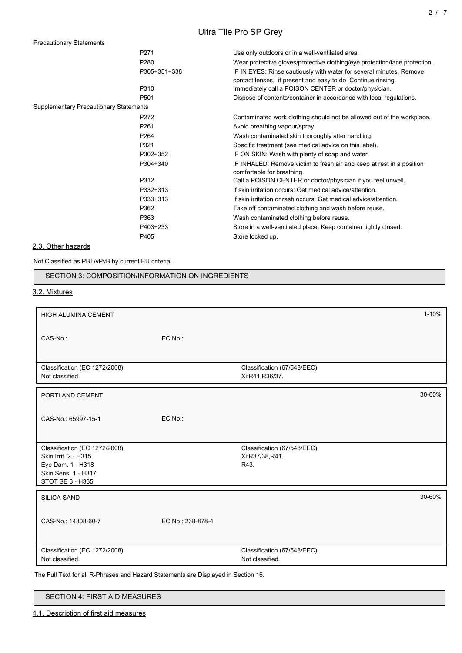# Ultra Tile Pro SP Grey

Precautionary Statements

|                                               | P271             | Use only outdoors or in a well-ventilated area.                                                                                     |
|-----------------------------------------------|------------------|-------------------------------------------------------------------------------------------------------------------------------------|
|                                               | P280             | Wear protective gloves/protective clothing/eye protection/face protection.                                                          |
|                                               | P305+351+338     | IF IN EYES: Rinse cautiously with water for several minutes. Remove<br>contact lenses, if present and easy to do. Continue rinsing. |
|                                               | P310             | Immediately call a POISON CENTER or doctor/physician.                                                                               |
|                                               | P <sub>501</sub> | Dispose of contents/container in accordance with local regulations.                                                                 |
| <b>Supplementary Precautionary Statements</b> |                  |                                                                                                                                     |
|                                               | P272             | Contaminated work clothing should not be allowed out of the workplace.                                                              |
|                                               | P <sub>261</sub> | Avoid breathing vapour/spray.                                                                                                       |
|                                               | P264             | Wash contaminated skin thoroughly after handling.                                                                                   |
|                                               | P321             | Specific treatment (see medical advice on this label).                                                                              |
|                                               | P302+352         | IF ON SKIN: Wash with plenty of soap and water.                                                                                     |
|                                               | P304+340         | IF INHALED: Remove victim to fresh air and keep at rest in a position<br>comfortable for breathing.                                 |
|                                               | P312             | Call a POISON CENTER or doctor/physician if you feel unwell.                                                                        |
|                                               | P332+313         | If skin irritation occurs: Get medical advice/attention.                                                                            |
|                                               | P333+313         | If skin irritation or rash occurs: Get medical advice/attention.                                                                    |
|                                               | P362             | Take off contaminated clothing and wash before reuse.                                                                               |
|                                               | P363             | Wash contaminated clothing before reuse.                                                                                            |
|                                               | P403+233         | Store in a well-ventilated place. Keep container tightly closed.                                                                    |
|                                               | P405             | Store locked up.                                                                                                                    |
|                                               |                  |                                                                                                                                     |

## 2.3. Other hazards

Not Classified as PBT/vPvB by current EU criteria.

SECTION 3: COMPOSITION/INFORMATION ON INGREDIENTS

3.2. Mixtures

| <b>HIGH ALUMINA CEMENT</b>                                                                                            |                   |                                                       | $1 - 10%$ |
|-----------------------------------------------------------------------------------------------------------------------|-------------------|-------------------------------------------------------|-----------|
| CAS-No.:                                                                                                              | EC No.:           |                                                       |           |
|                                                                                                                       |                   |                                                       |           |
| Classification (EC 1272/2008)<br>Not classified.                                                                      |                   | Classification (67/548/EEC)<br>Xi;R41,R36/37.         |           |
| PORTLAND CEMENT                                                                                                       |                   |                                                       | 30-60%    |
| CAS-No.: 65997-15-1                                                                                                   | EC No.:           |                                                       |           |
| Classification (EC 1272/2008)<br>Skin Irrit. 2 - H315<br>Eye Dam. 1 - H318<br>Skin Sens. 1 - H317<br>STOT SE 3 - H335 |                   | Classification (67/548/EEC)<br>Xi;R37/38,R41.<br>R43. |           |
| <b>SILICA SAND</b>                                                                                                    |                   |                                                       | 30-60%    |
| CAS-No.: 14808-60-7                                                                                                   | EC No.: 238-878-4 |                                                       |           |
| Classification (EC 1272/2008)<br>Not classified.                                                                      |                   | Classification (67/548/EEC)<br>Not classified.        |           |

The Full Text for all R-Phrases and Hazard Statements are Displayed in Section 16.

SECTION 4: FIRST AID MEASURES

4.1. Description of first aid measures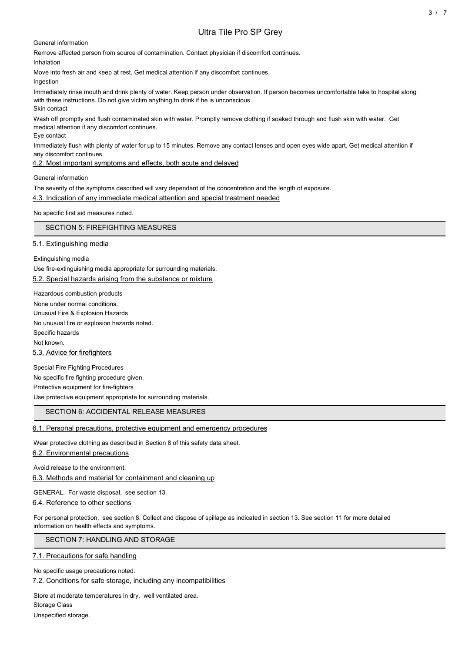## Ultra Tile Pro SP Grey

General information

Remove affected person from source of contamination. Contact physician if discomfort continues.

Inhalation

Move into fresh air and keep at rest. Get medical attention if any discomfort continues.

Ingestion

Immediately rinse mouth and drink plenty of water. Keep person under observation. If person becomes uncomfortable take to hospital along with these instructions. Do not give victim anything to drink if he is unconscious. Skin contact

Wash off promptly and flush contaminated skin with water. Promptly remove clothing if soaked through and flush skin with water. Get medical attention if any discomfort continues.

Eye contact

Immediately flush with plenty of water for up to 15 minutes. Remove any contact lenses and open eyes wide apart. Get medical attention if any discomfort continues.

4.2. Most important symptoms and effects, both acute and delayed

General information

The severity of the symptoms described will vary dependant of the concentration and the length of exposure.

4.3. Indication of any immediate medical attention and special treatment needed

No specific first aid measures noted.

SECTION 5: FIREFIGHTING MEASURES

5.1. Extinguishing media

Extinguishing media

Use fire-extinguishing media appropriate for surrounding materials. 5.2. Special hazards arising from the substance or mixture

Hazardous combustion products None under normal conditions. Unusual Fire & Explosion Hazards No unusual fire or explosion hazards noted. Specific hazards Not known. 5.3. Advice for firefighters

Special Fire Fighting Procedures No specific fire fighting procedure given. Protective equipment for fire-fighters Use protective equipment appropriate for surrounding materials.

## SECTION 6: ACCIDENTAL RELEASE MEASURES

## 6.1. Personal precautions, protective equipment and emergency procedures

Wear protective clothing as described in Section 8 of this safety data sheet. 6.2. Environmental precautions

Avoid release to the environment. 6.3. Methods and material for containment and cleaning up

GENERAL. For waste disposal, see section 13.

6.4. Reference to other sections

For personal protection, see section 8. Collect and dispose of spillage as indicated in section 13. See section 11 for more detailed information on health effects and symptoms.

SECTION 7: HANDLING AND STORAGE

7.1. Precautions for safe handling

No specific usage precautions noted.

7.2. Conditions for safe storage, including any incompatibilities

Store at moderate temperatures in dry, well ventilated area.

Storage Class

Unspecified storage.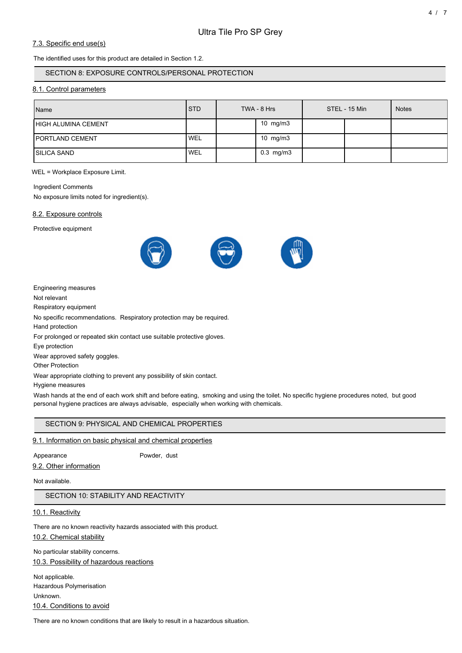## 7.3. Specific end use(s)

The identified uses for this product are detailed in Section 1.2.

### SECTION 8: EXPOSURE CONTROLS/PERSONAL PROTECTION

#### 8.1. Control parameters

| Name                       | <b>STD</b>       | TWA - 8 Hrs    | STEL - 15 Min | <b>Notes</b> |
|----------------------------|------------------|----------------|---------------|--------------|
| <b>HIGH ALUMINA CEMENT</b> |                  | 10 mg/m3       |               |              |
| <b>PORTLAND CEMENT</b>     | WEL              | 10 $mg/m3$     |               |              |
| <b>SILICA SAND</b>         | WEL <sup>'</sup> | $0.3$ mg/m $3$ |               |              |

WEL = Workplace Exposure Limit.

#### Ingredient Comments

No exposure limits noted for ingredient(s).

#### 8.2. Exposure controls

Protective equipment



Engineering measures

Not relevant

Respiratory equipment

No specific recommendations. Respiratory protection may be required.

Hand protection

For prolonged or repeated skin contact use suitable protective gloves.

Eye protection

Wear approved safety goggles.

Other Protection

Wear appropriate clothing to prevent any possibility of skin contact.

Hygiene measures

Wash hands at the end of each work shift and before eating, smoking and using the toilet. No specific hygiene procedures noted, but good personal hygiene practices are always advisable, especially when working with chemicals.

## SECTION 9: PHYSICAL AND CHEMICAL PROPERTIES

### 9.1. Information on basic physical and chemical properties

Appearance Powder, dust

9.2. Other information

Not available.

SECTION 10: STABILITY AND REACTIVITY

10.1. Reactivity

There are no known reactivity hazards associated with this product.

10.2. Chemical stability

No particular stability concerns.

10.3. Possibility of hazardous reactions

Not applicable. Hazardous Polymerisation Unknown. 10.4. Conditions to avoid

There are no known conditions that are likely to result in a hazardous situation.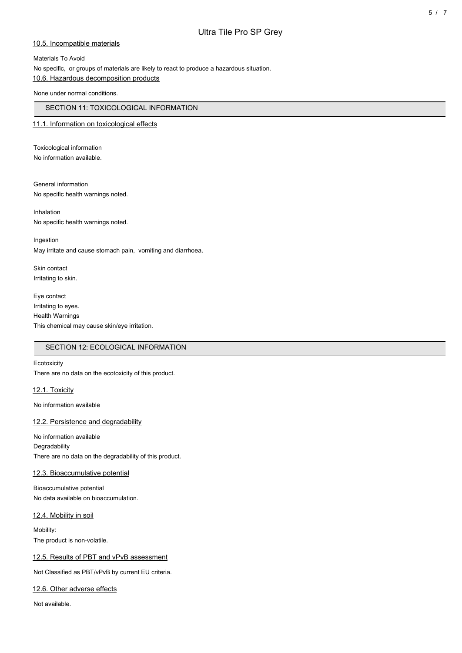#### 10.5. Incompatible materials

Materials To Avoid No specific, or groups of materials are likely to react to produce a hazardous situation. 10.6. Hazardous decomposition products

None under normal conditions.

## SECTION 11: TOXICOLOGICAL INFORMATION

### 11.1. Information on toxicological effects

Toxicological information No information available.

General information No specific health warnings noted.

Inhalation No specific health warnings noted.

Ingestion May irritate and cause stomach pain, vomiting and diarrhoea.

Skin contact Irritating to skin.

Eye contact Irritating to eyes. Health Warnings This chemical may cause skin/eye irritation.

## SECTION 12: ECOLOGICAL INFORMATION

#### **Ecotoxicity**

There are no data on the ecotoxicity of this product.

12.1. Toxicity

No information available

#### 12.2. Persistence and degradability

No information available **Degradability** There are no data on the degradability of this product.

#### 12.3. Bioaccumulative potential

Bioaccumulative potential No data available on bioaccumulation.

#### 12.4. Mobility in soil

Mobility: The product is non-volatile.

#### 12.5. Results of PBT and vPvB assessment

Not Classified as PBT/vPvB by current EU criteria.

### 12.6. Other adverse effects

Not available.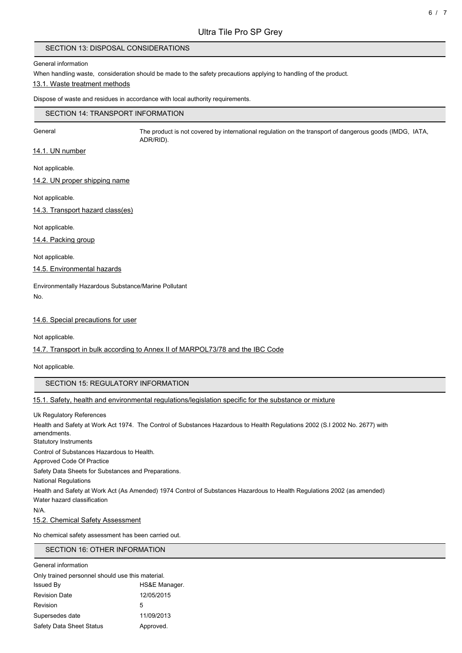## SECTION 13: DISPOSAL CONSIDERATIONS

#### General information

When handling waste, consideration should be made to the safety precautions applying to handling of the product.

#### 13.1. Waste treatment methods

Dispose of waste and residues in accordance with local authority requirements.

#### SECTION 14: TRANSPORT INFORMATION

General The product is not covered by international regulation on the transport of dangerous goods (IMDG, IATA, ADR/RID).

## 14.1. UN number

Not applicable.

14.2. UN proper shipping name

Not applicable.

14.3. Transport hazard class(es)

Not applicable.

14.4. Packing group

Not applicable.

## 14.5. Environmental hazards

Environmentally Hazardous Substance/Marine Pollutant No.

#### 14.6. Special precautions for user

Not applicable.

#### 14.7. Transport in bulk according to Annex II of MARPOL73/78 and the IBC Code

Not applicable.

## SECTION 15: REGULATORY INFORMATION

## 15.1. Safety, health and environmental regulations/legislation specific for the substance or mixture

Uk Regulatory References Health and Safety at Work Act 1974. The Control of Substances Hazardous to Health Regulations 2002 (S.I 2002 No. 2677) with amendments. Statutory Instruments Control of Substances Hazardous to Health. Approved Code Of Practice Safety Data Sheets for Substances and Preparations. National Regulations Health and Safety at Work Act (As Amended) 1974 Control of Substances Hazardous to Health Regulations 2002 (as amended) Water hazard classification N/A. 15.2. Chemical Safety Assessment

No chemical safety assessment has been carried out.

## SECTION 16: OTHER INFORMATION

| General information                              |               |
|--------------------------------------------------|---------------|
| Only trained personnel should use this material. |               |
| <b>Issued By</b>                                 | HS&E Manager. |
| <b>Revision Date</b>                             | 12/05/2015    |
| Revision                                         | 5             |
| Supersedes date                                  | 11/09/2013    |
| Safety Data Sheet Status                         | Approved.     |